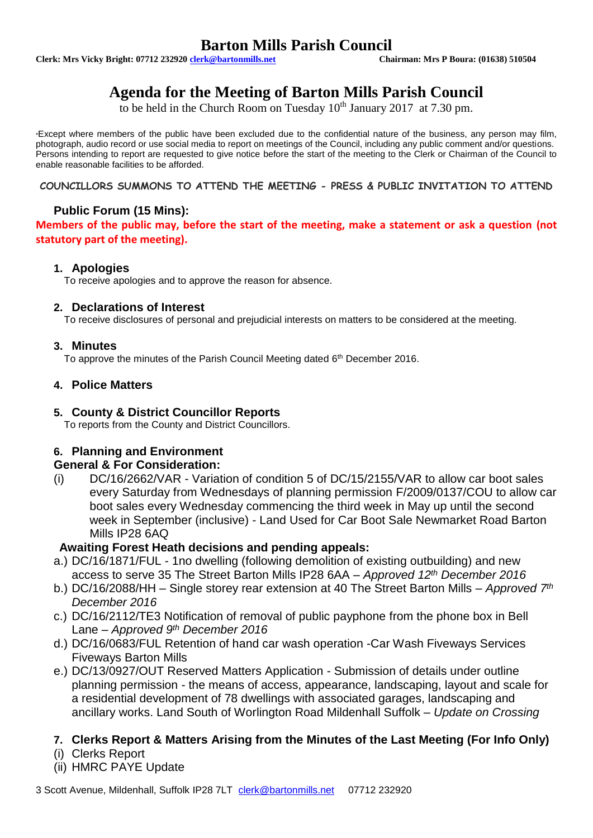# **Barton Mills Parish Council**<br> **Chairman: Mrs P Boura: (01638) 510504**<br>
Chairman: Mrs P Boura: (01638) 510504

**Clerk: Mrs Vicky Bright: 07712 232920 <b>clerk@bartonmills.net** 

# **Agenda for the Meeting of Barton Mills Parish Council**

to be held in the Church Room on Tuesday  $10^{th}$  January 2017 at 7.30 pm.

\*Except where members of the public have been excluded due to the confidential nature of the business, any person may film, photograph, audio record or use social media to report on meetings of the Council, including any public comment and/or questions. Persons intending to report are requested to give notice before the start of the meeting to the Clerk or Chairman of the Council to enable reasonable facilities to be afforded.

#### **COUNCILLORS SUMMONS TO ATTEND THE MEETING - PRESS & PUBLIC INVITATION TO ATTEND**

# **Public Forum (15 Mins):**

**Members of the public may, before the start of the meeting, make a statement or ask a question (not statutory part of the meeting).**

#### **1. Apologies**

To receive apologies and to approve the reason for absence.

#### **2. Declarations of Interest**

To receive disclosures of personal and prejudicial interests on matters to be considered at the meeting.

#### **3. Minutes**

To approve the minutes of the Parish Council Meeting dated 6<sup>th</sup> December 2016.

#### **4. Police Matters**

#### **5. County & District Councillor Reports**

To reports from the County and District Councillors.

#### **6. Planning and Environment**

#### **General & For Consideration:**

(i) DC/16/2662/VAR - Variation of condition 5 of DC/15/2155/VAR to allow car boot sales every Saturday from Wednesdays of planning permission F/2009/0137/COU to allow car boot sales every Wednesday commencing the third week in May up until the second week in September (inclusive) - Land Used for Car Boot Sale Newmarket Road Barton Mills IP28 6AQ

#### **Awaiting Forest Heath decisions and pending appeals:**

- a.) DC/16/1871/FUL 1no dwelling (following demolition of existing outbuilding) and new access to serve 35 The Street Barton Mills IP28 6AA – *Approved 12th December 2016*
- b.) DC/16/2088/HH Single storey rear extension at 40 The Street Barton Mills *Approved 7th December 2016*
- c.) DC/16/2112/TE3 Notification of removal of public payphone from the phone box in Bell Lane – *Approved 9th December 2016*
- d.) DC/16/0683/FUL Retention of hand car wash operation -Car Wash Fiveways Services Fiveways Barton Mills
- e.) DC/13/0927/OUT Reserved Matters Application Submission of details under outline planning permission - the means of access, appearance, landscaping, layout and scale for a residential development of 78 dwellings with associated garages, landscaping and ancillary works. Land South of Worlington Road Mildenhall Suffolk – *Update on Crossing*

# **7. Clerks Report & Matters Arising from the Minutes of the Last Meeting (For Info Only)**

- (i) Clerks Report
- (ii) HMRC PAYE Update